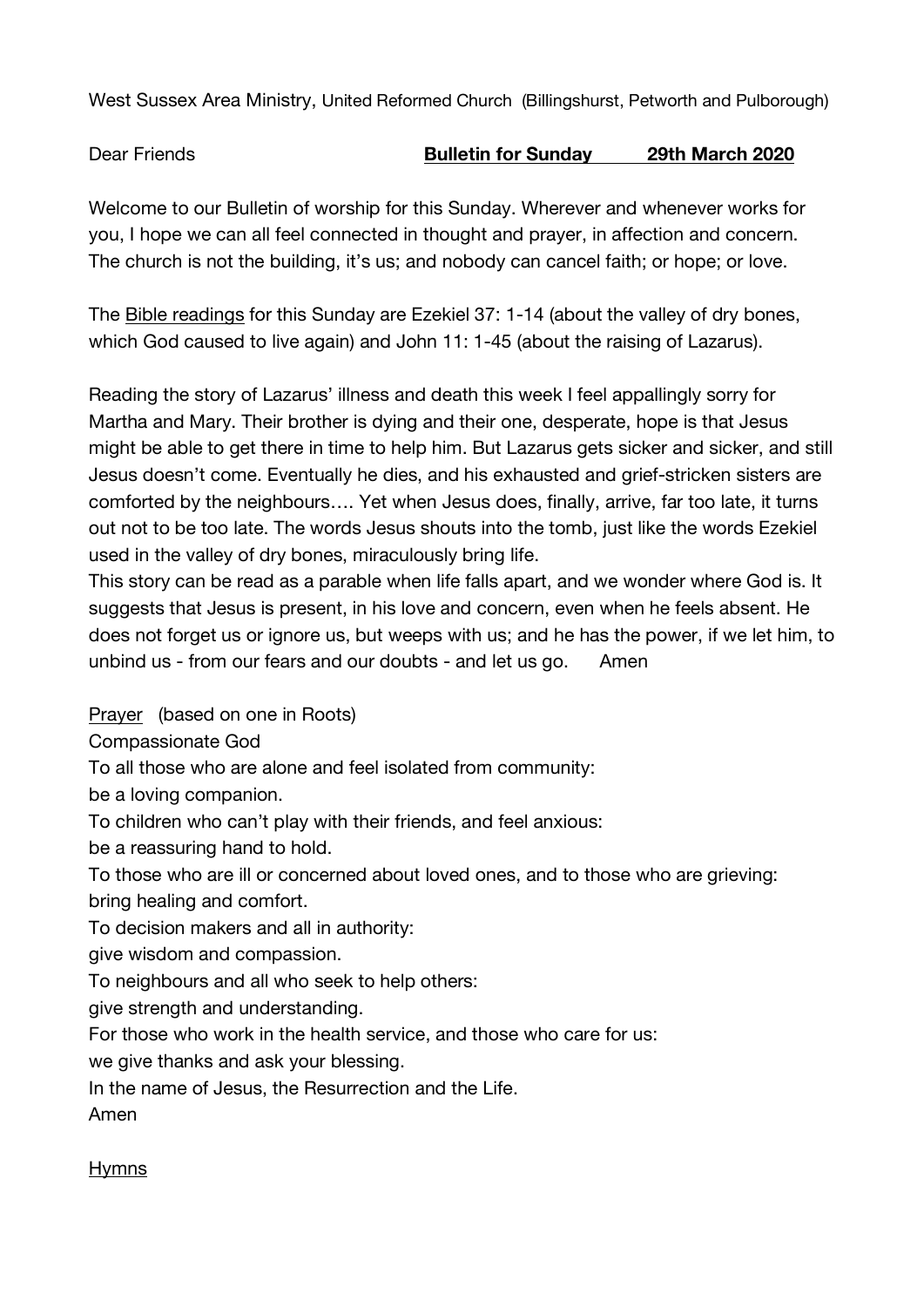West Sussex Area Ministry, United Reformed Church (Billingshurst, Petworth and Pulborough)

Dear Friends **Bulletin for Sunday 29th March 2020**

Welcome to our Bulletin of worship for this Sunday. Wherever and whenever works for you, I hope we can all feel connected in thought and prayer, in affection and concern. The church is not the building, it's us; and nobody can cancel faith; or hope; or love.

The Bible readings for this Sunday are Ezekiel 37: 1-14 (about the valley of dry bones, which God caused to live again) and John 11: 1-45 (about the raising of Lazarus).

Reading the story of Lazarus' illness and death this week I feel appallingly sorry for Martha and Mary. Their brother is dying and their one, desperate, hope is that Jesus might be able to get there in time to help him. But Lazarus gets sicker and sicker, and still Jesus doesn't come. Eventually he dies, and his exhausted and grief-stricken sisters are comforted by the neighbours…. Yet when Jesus does, finally, arrive, far too late, it turns out not to be too late. The words Jesus shouts into the tomb, just like the words Ezekiel used in the valley of dry bones, miraculously bring life.

This story can be read as a parable when life falls apart, and we wonder where God is. It suggests that Jesus is present, in his love and concern, even when he feels absent. He does not forget us or ignore us, but weeps with us; and he has the power, if we let him, to unbind us - from our fears and our doubts - and let us go. Amen

Prayer (based on one in Roots)

Compassionate God

To all those who are alone and feel isolated from community:

be a loving companion.

To children who can't play with their friends, and feel anxious:

be a reassuring hand to hold.

To those who are ill or concerned about loved ones, and to those who are grieving: bring healing and comfort.

To decision makers and all in authority:

give wisdom and compassion.

To neighbours and all who seek to help others:

give strength and understanding.

For those who work in the health service, and those who care for us:

we give thanks and ask your blessing.

In the name of Jesus, the Resurrection and the Life.

Amen

## Hymns